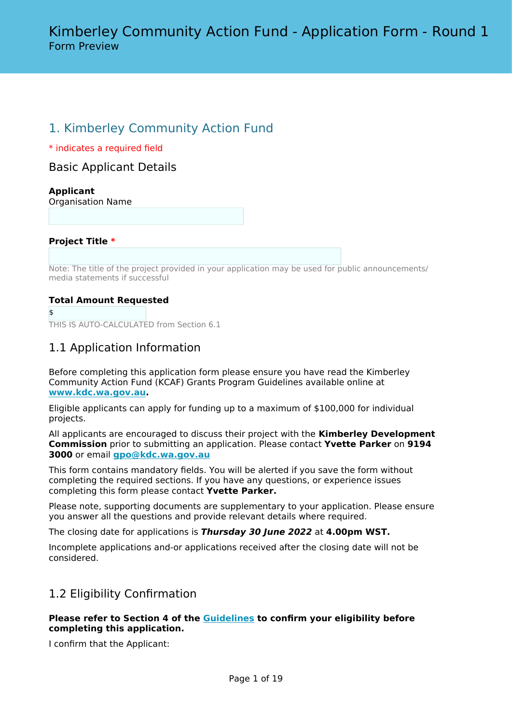# 1. Kimberley Community Action Fund

\* indicates a required field

Basic Applicant Details

## **Applicant**

Organisation Name

**Project Title \***

Note: The title of the project provided in your application may be used for public announcements/ media statements if successful

## **Total Amount Requested**

\$

THIS IS AUTO-CALCULATED from Section 6.1

# 1.1 Application Information

Before completing this application form please ensure you have read the Kimberley Community Action Fund (KCAF) Grants Program Guidelines available online at **[www.kdc.wa.gov.au.](http://www.kdc.wa.gov.au)**

Eligible applicants can apply for funding up to a maximum of \$100,000 for individual projects.

All applicants are encouraged to discuss their project with the **Kimberley Development Commission** prior to submitting an application. Please contact **Yvette Parker** on **9194 3000** or email **[gpo@kdc.wa.gov.au](mailto:gpo@kdc.wa.gov.au)**

This form contains mandatory fields. You will be alerted if you save the form without completing the required sections. If you have any questions, or experience issues completing this form please contact **Yvette Parker.**

Please note, supporting documents are supplementary to your application. Please ensure you answer all the questions and provide relevant details where required.

The closing date for applications is *Thursday 30 June 2022* at **4.00pm WST.**

Incomplete applications and-or applications received after the closing date will not be considered.

# 1.2 Eligibility Confirmation

### **Please refer to Section 4 of the [Guidelines](https://kdc.wa.gov.au/funding/kimberley-community-action-fund/) to confirm your eligibility before completing this application.**

I confirm that the Applicant: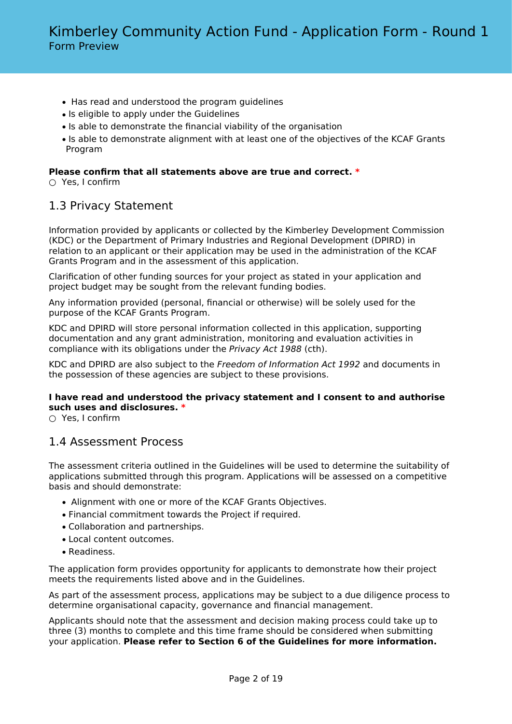- Has read and understood the program guidelines
- Is eligible to apply under the Guidelines
- Is able to demonstrate the financial viability of the organisation
- Is able to demonstrate alignment with at least one of the objectives of the KCAF Grants Program

## **Please confirm that all statements above are true and correct. \***

○ Yes, I confirm

# 1.3 Privacy Statement

Information provided by applicants or collected by the Kimberley Development Commission (KDC) or the Department of Primary Industries and Regional Development (DPIRD) in relation to an applicant or their application may be used in the administration of the KCAF Grants Program and in the assessment of this application.

Clarification of other funding sources for your project as stated in your application and project budget may be sought from the relevant funding bodies.

Any information provided (personal, financial or otherwise) will be solely used for the purpose of the KCAF Grants Program.

KDC and DPIRD will store personal information collected in this application, supporting documentation and any grant administration, monitoring and evaluation activities in compliance with its obligations under the *Privacy Act 1988* (cth).

KDC and DPIRD are also subject to the *Freedom of Information Act 1992* and documents in the possession of these agencies are subject to these provisions.

## **I have read and understood the privacy statement and I consent to and authorise such uses and disclosures. \***

○ Yes, I confirm

# 1.4 Assessment Process

The assessment criteria outlined in the Guidelines will be used to determine the suitability of applications submitted through this program. Applications will be assessed on a competitive basis and should demonstrate:

- Alignment with one or more of the KCAF Grants Objectives.
- Financial commitment towards the Project if required.
- Collaboration and partnerships.
- Local content outcomes.
- Readiness.

The application form provides opportunity for applicants to demonstrate how their project meets the requirements listed above and in the Guidelines.

As part of the assessment process, applications may be subject to a due diligence process to determine organisational capacity, governance and financial management.

Applicants should note that the assessment and decision making process could take up to three (3) months to complete and this time frame should be considered when submitting your application. **Please refer to Section 6 of the Guidelines for more information.**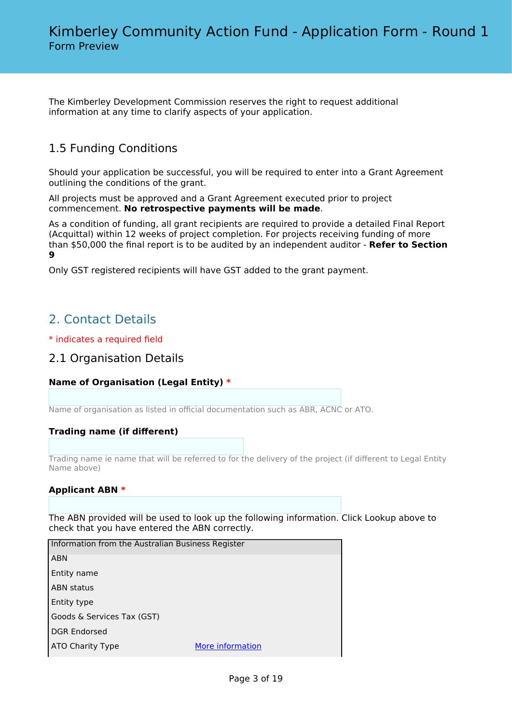The Kimberley Development Commission reserves the right to request additional information at any time to clarify aspects of your application.

# 1.5 Funding Conditions

Should your application be successful, you will be required to enter into a Grant Agreement outlining the conditions of the grant.

All projects must be approved and a Grant Agreement executed prior to project commencement. **No retrospective payments will be made**.

As a condition of funding, all grant recipients are required to provide a detailed Final Report (Acquittal) within 12 weeks of project completion. For projects receiving funding of more than \$50,000 the final report is to be audited by an independent auditor - **Refer to Section 9**

Only GST registered recipients will have GST added to the grant payment.

# 2. Contact Details

\* indicates a required field

## 2.1 Organisation Details

## **Name of Organisation (Legal Entity) \***

Name of organisation as listed in official documentation such as ABR, ACNC or ATO.

## **Trading name (if different)**

Trading name ie name that will be referred to for the delivery of the project (if different to Legal Entity Name above)

### **Applicant ABN \***

The ABN provided will be used to look up the following information. Click Lookup above to check that you have entered the ABN correctly.

| Information from the Australian Business Register |                  |
|---------------------------------------------------|------------------|
| <b>ABN</b>                                        |                  |
| Entity name                                       |                  |
| <b>ABN status</b>                                 |                  |
| Entity type                                       |                  |
| Goods & Services Tax (GST)                        |                  |
| <b>DGR Endorsed</b>                               |                  |
| <b>ATO Charity Type</b>                           | More information |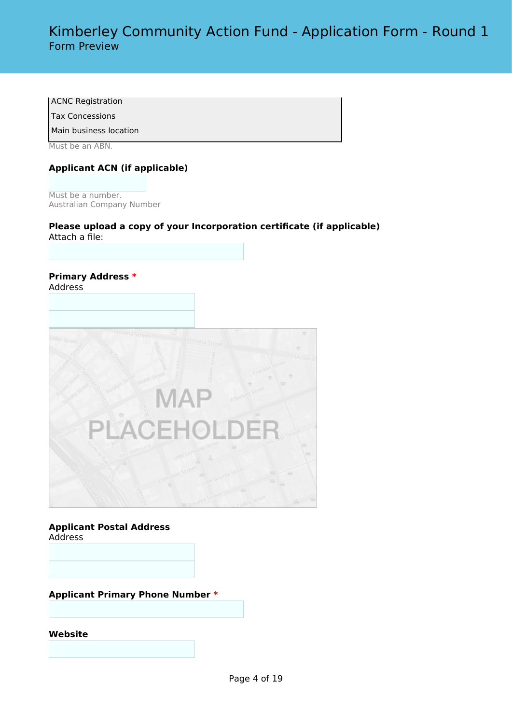ACNC Registration

Tax Concessions

Main business location

Must be an ABN.

## **Applicant ACN (if applicable)**

Must be a number. Australian Company Number

### **Please upload a copy of your Incorporation certificate (if applicable)** Attach a file:

#### **Primary Address \*** Address



### **Applicant Postal Address** Address

**Applicant Primary Phone Number \***

**Website**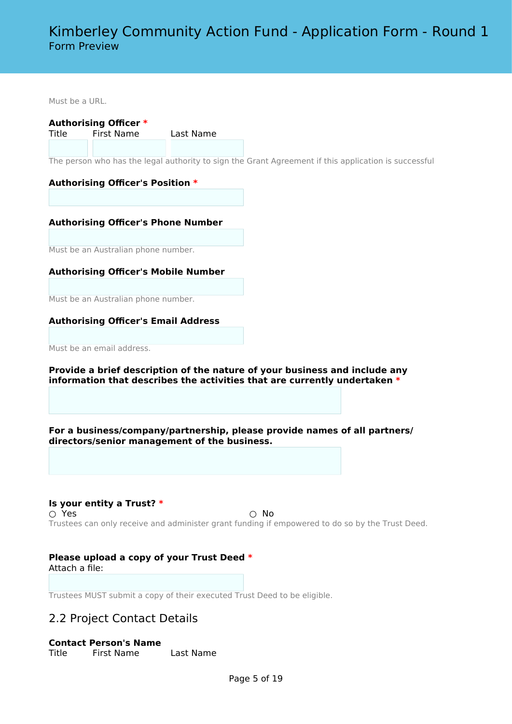Must be a URL.

**Authorising Officer \***

Title First Name Last Name

The person who has the legal authority to sign the Grant Agreement if this application is successful

### **Authorising Officer's Position \***

**Authorising Officer's Phone Number**

Must be an Australian phone number.

**Authorising Officer's Mobile Number**

Must be an Australian phone number.

### **Authorising Officer's Email Address**

Must be an email address.

**Provide a brief description of the nature of your business and include any information that describes the activities that are currently undertaken \***

**For a business/company/partnership, please provide names of all partners/ directors/senior management of the business.**

**Is your entity a Trust? \***  $\bigcirc$  Yes  $\bigcirc$  No Trustees can only receive and administer grant funding if empowered to do so by the Trust Deed.

#### **Please upload a copy of your Trust Deed \*** Attach a file:

Trustees MUST submit a copy of their executed Trust Deed to be eligible.

# 2.2 Project Contact Details

### **Contact Person's Name**

Title First Name Last Name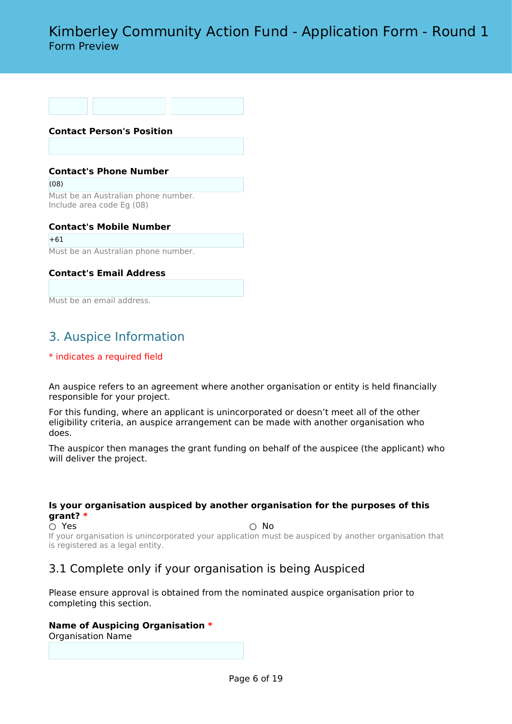# Kimberley Community Action Fund - Application Form - Round 1 Form Preview

**Contact Person's Position**

#### **Contact's Phone Number**

(08) Must be an Australian phone number. Include area code Eg (08)

**Contact's Mobile Number**  $+61$ Must be an Australian phone number.

## **Contact's Email Address**

Must be an email address.

# 3. Auspice Information

### \* indicates a required field

An auspice refers to an agreement where another organisation or entity is held financially responsible for your project.

For this funding, where an applicant is unincorporated or doesn't meet all of the other eligibility criteria, an auspice arrangement can be made with another organisation who does.

The auspicor then manages the grant funding on behalf of the auspicee (the applicant) who will deliver the project.

### **Is your organisation auspiced by another organisation for the purposes of this grant? \***

 $\bigcirc$  Yes  $\bigcirc$  No

If your organisation is unincorporated your application must be auspiced by another organisation that is registered as a legal entity.

# 3.1 Complete only if your organisation is being Auspiced

Please ensure approval is obtained from the nominated auspice organisation prior to completing this section.

# **Name of Auspicing Organisation \***

Organisation Name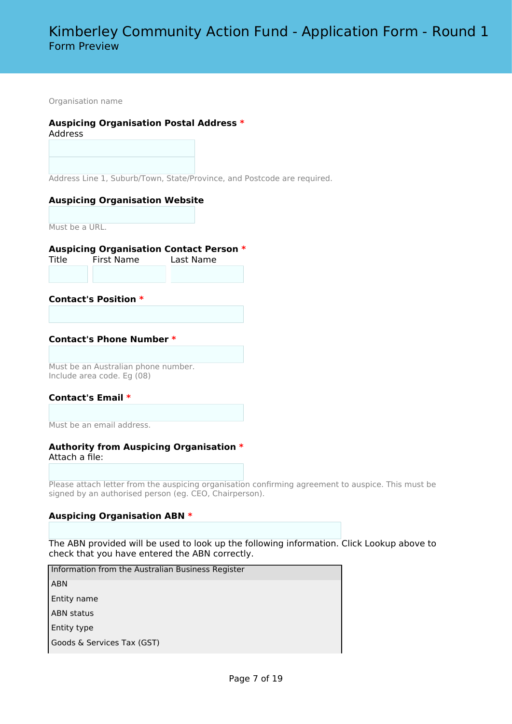Organisation name

### **Auspicing Organisation Postal Address \***

Address

Address Line 1, Suburb/Town, State/Province, and Postcode are required.

#### **Auspicing Organisation Website**

Must be a URL.

#### **Auspicing Organisation Contact Person \***

Title First Name Last Name

### **Contact's Position \***

#### **Contact's Phone Number \***

Must be an Australian phone number. Include area code. Eg (08)

### **Contact's Email \***

Must be an email address.

#### **Authority from Auspicing Organisation \*** Attach a file:

Please attach letter from the auspicing organisation confirming agreement to auspice. This must be signed by an authorised person (eg. CEO, Chairperson).

### **Auspicing Organisation ABN \***

The ABN provided will be used to look up the following information. Click Lookup above to check that you have entered the ABN correctly.

 Information from the Australian Business Register ABN Entity name ABN status Entity type Goods & Services Tax (GST)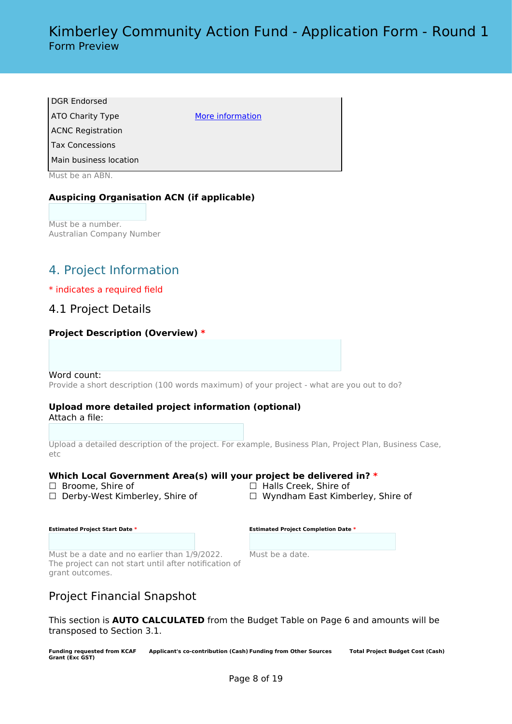| DGR Endorsed             |                  |
|--------------------------|------------------|
| ATO Charity Type         | More information |
| <b>ACNC Registration</b> |                  |
| l Tax Concessions        |                  |
| Main business location   |                  |
|                          |                  |

Must be an ABN.

## **Auspicing Organisation ACN (if applicable)**

Must be a number. Australian Company Number

# 4. Project Information

### \* indicates a required field

## 4.1 Project Details

### **Project Description (Overview) \***

#### Word count:

Provide a short description (100 words maximum) of your project - what are you out to do?

### **Upload more detailed project information (optional)**

Attach a file:

Upload a detailed description of the project. For example, Business Plan, Project Plan, Business Case, etc

### **Which Local Government Area(s) will your project be delivered in? \***

- 
- 
- ☐ Broome, Shire of ☐ Halls Creek, Shire of
- ☐ Derby-West Kimberley, Shire of ☐ Wyndham East Kimberley, Shire of

| <b>Estimated Project Start Date *</b> |  |  |
|---------------------------------------|--|--|
|                                       |  |  |

|  |  |  |  | <b>Estimated Project Completion Date *</b> |  |
|--|--|--|--|--------------------------------------------|--|
|--|--|--|--|--------------------------------------------|--|

Must be a date and no earlier than 1/9/2022. The project can not start until after notification of grant outcomes.

Must be a date.

# Project Financial Snapshot

This section is **AUTO CALCULATED** from the Budget Table on Page 6 and amounts will be transposed to Section 3.1.

**Funding requested from KCAF Grant (Exc GST) Applicant's co-contribution (Cash) Funding from Other Sources Total Project Budget Cost (Cash)**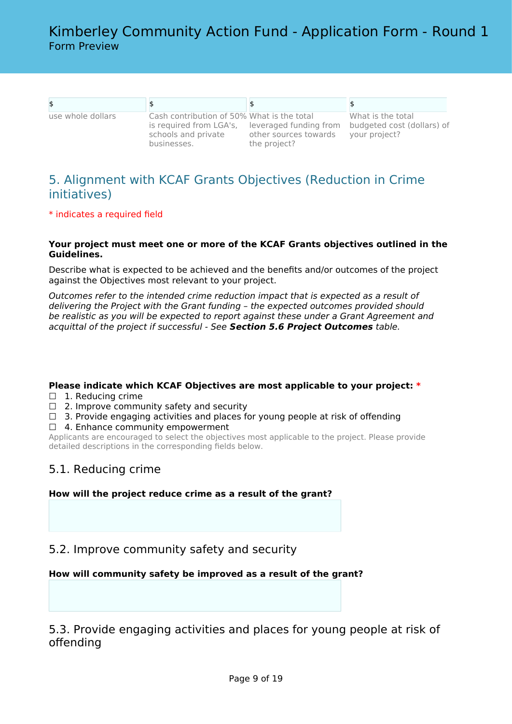| use whole dollars | Cash contribution of 50% What is the total<br>is required from LGA's,<br>schools and private<br>businesses. | leveraged funding from<br>other sources towards<br>the project? | What is the total<br>budgeted cost (dollars) of<br>your project? |
|-------------------|-------------------------------------------------------------------------------------------------------------|-----------------------------------------------------------------|------------------------------------------------------------------|

# 5. Alignment with KCAF Grants Objectives (Reduction in Crime initiatives)

\* indicates a required field

### **Your project must meet one or more of the KCAF Grants objectives outlined in the Guidelines.**

Describe what is expected to be achieved and the benefits and/or outcomes of the project against the Objectives most relevant to your project.

*Outcomes refer to the intended crime reduction impact that is expected as a result of delivering the Project with the Grant funding – the expected outcomes provided should be realistic as you will be expected to report against these under a Grant Agreement and acquittal of the project if successful - See Section 5.6 Project Outcomes table.*

**Please indicate which KCAF Objectives are most applicable to your project: \***

- □ 1. Reducing crime
- $\Box$  2. Improve community safety and security
- $\Box$  3. Provide engaging activities and places for young people at risk of offending
- □ 4. Enhance community empowerment

Applicants are encouraged to select the objectives most applicable to the project. Please provide detailed descriptions in the corresponding fields below.

# 5.1. Reducing crime

**How will the project reduce crime as a result of the grant?**

5.2. Improve community safety and security

### **How will community safety be improved as a result of the grant?**

5.3. Provide engaging activities and places for young people at risk of offending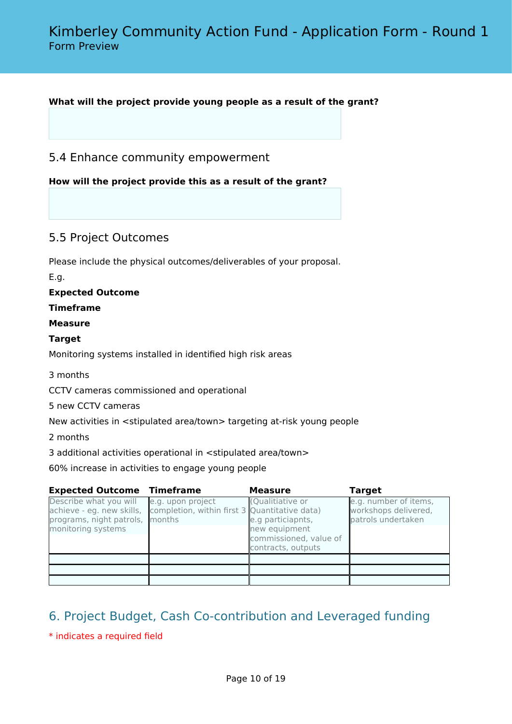## **What will the project provide young people as a result of the grant?**

## 5.4 Enhance community empowerment

**How will the project provide this as a result of the grant?**

# 5.5 Project Outcomes

Please include the physical outcomes/deliverables of your proposal.

E.g.

### **Expected Outcome**

### **Timeframe**

### **Measure**

### **Target**

Monitoring systems installed in identified high risk areas

### 3 months

CCTV cameras commissioned and operational

5 new CCTV cameras

New activities in <stipulated area/town> targeting at-risk young people

2 months

3 additional activities operational in <stipulated area/town>

60% increase in activities to engage young people

| <b>Expected Outcome Timeframe</b>                                                                            |                                                                    | <b>Measure</b>                                                                                         | <b>Target</b>                                                       |
|--------------------------------------------------------------------------------------------------------------|--------------------------------------------------------------------|--------------------------------------------------------------------------------------------------------|---------------------------------------------------------------------|
| Describe what you will<br>achieve - eg. new skills,<br>programs, night patrols, months<br>monitoring systems | e.g. upon project<br>completion, within first 3 Quantitative data) | (Qualitiative or<br>e.g particiapnts,<br>new equipment<br>commissioned, value of<br>contracts, outputs | e.g. number of items,<br>workshops delivered,<br>patrols undertaken |
|                                                                                                              |                                                                    |                                                                                                        |                                                                     |
|                                                                                                              |                                                                    |                                                                                                        |                                                                     |
|                                                                                                              |                                                                    |                                                                                                        |                                                                     |

# 6. Project Budget, Cash Co-contribution and Leveraged funding

\* indicates a required field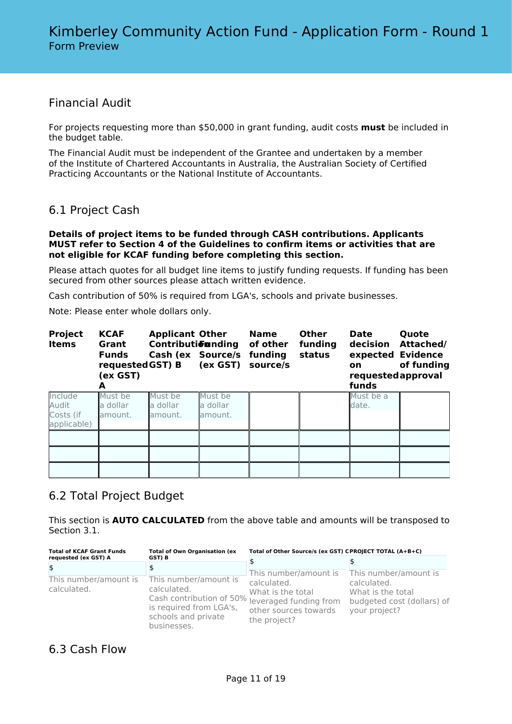# Financial Audit

For projects requesting more than \$50,000 in grant funding, audit costs **must** be included in the budget table.

The Financial Audit must be independent of the Grantee and undertaken by a member of the Institute of Chartered Accountants in Australia, the Australian Society of Certified Practicing Accountants or the National Institute of Accountants.

# 6.1 Project Cash

#### **Details of project items to be funded through CASH contributions. Applicants MUST refer to Section 4 of the Guidelines to confirm items or activities that are not eligible for KCAF funding before completing this section.**

Please attach quotes for all budget line items to justify funding requests. If funding has been secured from other sources please attach written evidence.

Cash contribution of 50% is required from LGA's, schools and private businesses.

Note: Please enter whole dollars only.

| <b>Project</b><br><b>Items</b>               | <b>KCAF</b><br>Grant<br><b>Funds</b><br>requested GST) B<br>(ex GST)<br>A | <b>Applicant Other</b><br>Contributionnding | Cash (ex Source/s<br>(ex GST)  | <b>Name</b><br>of other<br>funding<br>source/s | <b>Other</b><br>funding<br>status | <b>Date</b><br>decision<br>on<br>requestedapproval<br>funds | Quote<br>Attached/<br>expected Evidence<br>of funding |
|----------------------------------------------|---------------------------------------------------------------------------|---------------------------------------------|--------------------------------|------------------------------------------------|-----------------------------------|-------------------------------------------------------------|-------------------------------------------------------|
| Include<br>Audit<br>Costs (if<br>applicable) | Must be<br>a dollar<br>amount.                                            | Must be<br>a dollar<br>lamount.             | Must be<br>a dollar<br>amount. |                                                |                                   | Must be a<br>date.                                          |                                                       |
|                                              |                                                                           |                                             |                                |                                                |                                   |                                                             |                                                       |
|                                              |                                                                           |                                             |                                |                                                |                                   |                                                             |                                                       |

# 6.2 Total Project Budget

This section is **AUTO CALCULATED** from the above table and amounts will be transposed to Section 3.1.

| <b>Total of KCAF Grant Funds</b>     | <b>Total of Own Organisation (ex</b>                                                                                                                     | Total of Other Source/s (ex GST) CPROJECT TOTAL (A+B+C)                   |                                                                                 |  |
|--------------------------------------|----------------------------------------------------------------------------------------------------------------------------------------------------------|---------------------------------------------------------------------------|---------------------------------------------------------------------------------|--|
| requested (ex GST) A                 | GST) B                                                                                                                                                   |                                                                           |                                                                                 |  |
| \$                                   |                                                                                                                                                          | This number/amount is                                                     | This number/amount is                                                           |  |
| This number/amount is<br>calculated. | This number/amount is<br>calculated.<br>Cash contribution of 50% leveraged funding from<br>is required from LGA's,<br>schools and private<br>businesses. | calculated.<br>What is the total<br>other sources towards<br>the project? | calculated.<br>What is the total<br>budgeted cost (dollars) of<br>your project? |  |

# 6.3 Cash Flow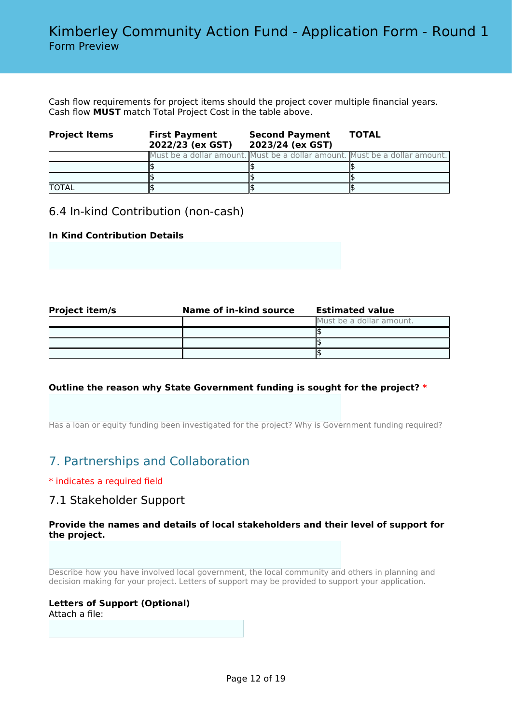Cash flow requirements for project items should the project cover multiple financial years. Cash flow **MUST** match Total Project Cost in the table above.

| <b>Project Items</b> | <b>First Payment</b><br>2022/23 (ex GST) | <b>Second Payment</b><br>2023/24 (ex GST) | <b>TOTAL</b>                                                               |
|----------------------|------------------------------------------|-------------------------------------------|----------------------------------------------------------------------------|
|                      |                                          |                                           | Must be a dollar amount. Must be a dollar amount. Must be a dollar amount. |
|                      |                                          |                                           |                                                                            |
|                      |                                          |                                           |                                                                            |
| <b>TOTAL</b>         |                                          |                                           |                                                                            |

# 6.4 In-kind Contribution (non-cash)

## **In Kind Contribution Details**

| <b>Project item/s</b> | Name of in-kind source | <b>Estimated value</b>   |
|-----------------------|------------------------|--------------------------|
|                       |                        | Must be a dollar amount. |
|                       |                        |                          |
|                       |                        |                          |
|                       |                        |                          |

## **Outline the reason why State Government funding is sought for the project? \***

Has a loan or equity funding been investigated for the project? Why is Government funding required?

# 7. Partnerships and Collaboration

## \* indicates a required field

# 7.1 Stakeholder Support

### **Provide the names and details of local stakeholders and their level of support for the project.**

Describe how you have involved local government, the local community and others in planning and decision making for your project. Letters of support may be provided to support your application.

## **Letters of Support (Optional)**

Attach a file: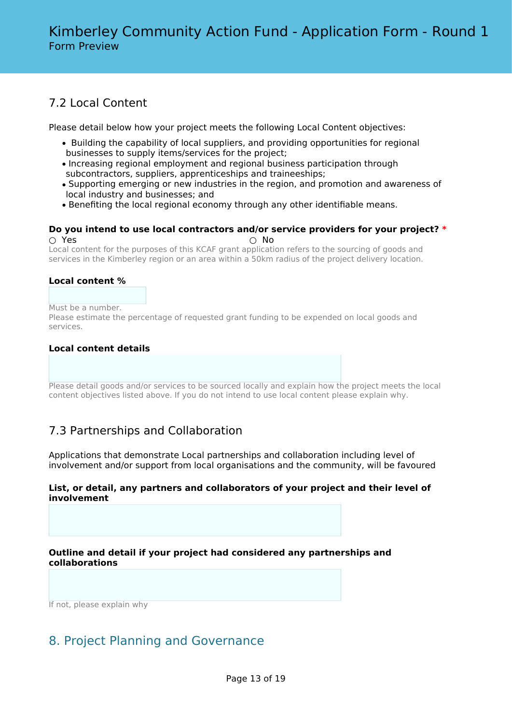# 7.2 Local Content

Please detail below how your project meets the following Local Content objectives:

- Building the capability of local suppliers, and providing opportunities for regional businesses to supply items/services for the project;
- Increasing regional employment and regional business participation through subcontractors, suppliers, apprenticeships and traineeships;
- Supporting emerging or new industries in the region, and promotion and awareness of local industry and businesses; and
- Benefiting the local regional economy through any other identifiable means.

#### **Do you intend to use local contractors and/or service providers for your project? \*** ○ Yes ○ No

Local content for the purposes of this KCAF grant application refers to the sourcing of goods and services in the Kimberley region or an area within a 50km radius of the project delivery location.

## **Local content %**

Must be a number.

Please estimate the percentage of requested grant funding to be expended on local goods and services.

## **Local content details**

Please detail goods and/or services to be sourced locally and explain how the project meets the local content objectives listed above. If you do not intend to use local content please explain why.

# 7.3 Partnerships and Collaboration

Applications that demonstrate Local partnerships and collaboration including level of involvement and/or support from local organisations and the community, will be favoured

### **List, or detail, any partners and collaborators of your project and their level of involvement**

**Outline and detail if your project had considered any partnerships and collaborations**

If not, please explain why

# 8. Project Planning and Governance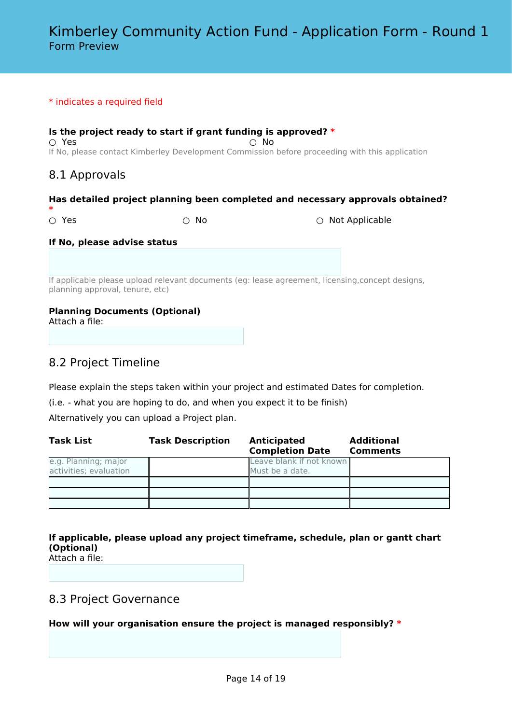#### \* indicates a required field

**Is the project ready to start if grant funding is approved? \***  $\bigcirc$  Yes  $\bigcirc$  No If No, please contact Kimberley Development Commission before proceeding with this application

# 8.1 Approvals

### **Has detailed project planning been completed and necessary approvals obtained?**

**\***

○ Yes ○ No ○ Not Applicable

#### **If No, please advise status**

If applicable please upload relevant documents (eg: lease agreement, licensing,concept designs, planning approval, tenure, etc)

### **Planning Documents (Optional)**

Attach a file:

# 8.2 Project Timeline

Please explain the steps taken within your project and estimated Dates for completion.

(i.e. - what you are hoping to do, and when you expect it to be finish)

Alternatively you can upload a Project plan.

| Task List                                      | <b>Task Description</b> | <b>Anticipated</b><br><b>Completion Date</b> | <b>Additional</b><br><b>Comments</b> |
|------------------------------------------------|-------------------------|----------------------------------------------|--------------------------------------|
| e.g. Planning; major<br>activities; evaluation |                         | Leave blank if not known<br>Must be a date.  |                                      |
|                                                |                         |                                              |                                      |
|                                                |                         |                                              |                                      |
|                                                |                         |                                              |                                      |

**If applicable, please upload any project timeframe, schedule, plan or gantt chart (Optional)**

Attach a file:

# 8.3 Project Governance

**How will your organisation ensure the project is managed responsibly? \***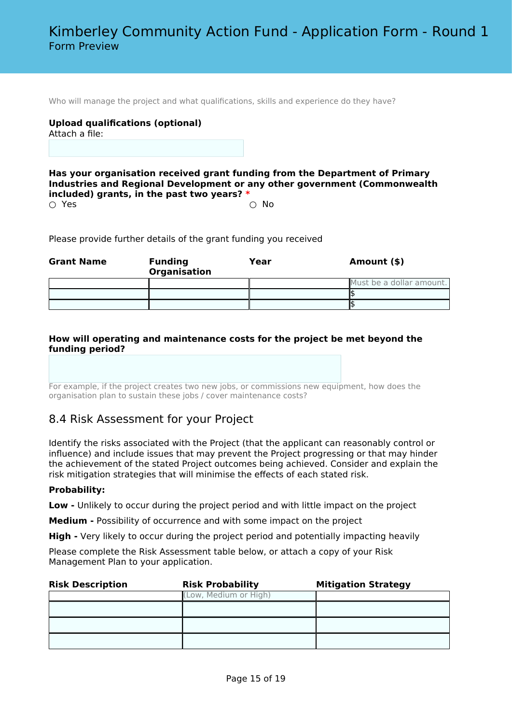Who will manage the project and what qualifications, skills and experience do they have?

# **Upload qualifications (optional)**

Attach a file:

**Has your organisation received grant funding from the Department of Primary Industries and Regional Development or any other government (Commonwealth included) grants, in the past two years? \***

 $\bigcirc$  Yes  $\bigcirc$  No

Please provide further details of the grant funding you received

| <b>Grant Name</b> | <b>Funding</b><br><b>Organisation</b> | Year | Amount (\$)              |
|-------------------|---------------------------------------|------|--------------------------|
|                   |                                       |      | Must be a dollar amount. |
|                   |                                       |      |                          |
|                   |                                       |      |                          |

### **How will operating and maintenance costs for the project be met beyond the funding period?**

For example, if the project creates two new jobs, or commissions new equipment, how does the organisation plan to sustain these jobs / cover maintenance costs?

# 8.4 Risk Assessment for your Project

Identify the risks associated with the Project (that the applicant can reasonably control or influence) and include issues that may prevent the Project progressing or that may hinder the achievement of the stated Project outcomes being achieved. Consider and explain the risk mitigation strategies that will minimise the effects of each stated risk.

### **Probability:**

**Low -** Unlikely to occur during the project period and with little impact on the project

**Medium -** Possibility of occurrence and with some impact on the project

**High -** Very likely to occur during the project period and potentially impacting heavily

Please complete the Risk Assessment table below, or attach a copy of your Risk Management Plan to your application.

| <b>Risk Description</b> | <b>Risk Probability</b> | <b>Mitigation Strategy</b> |
|-------------------------|-------------------------|----------------------------|
|                         | (Low, Medium or High)   |                            |
|                         |                         |                            |
|                         |                         |                            |
|                         |                         |                            |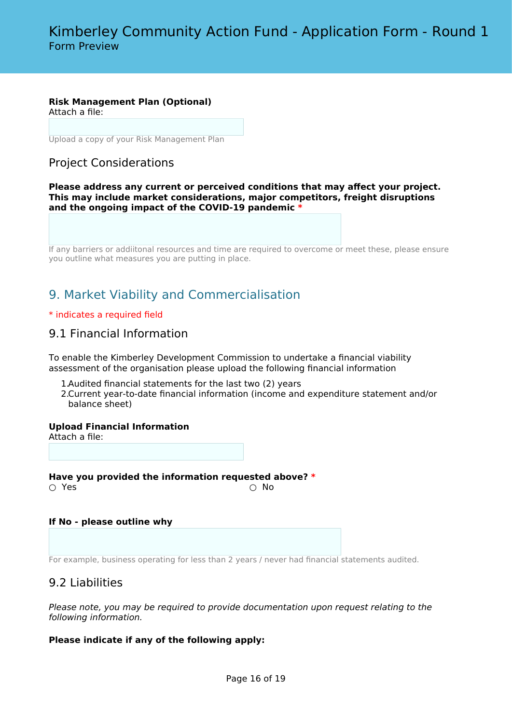## **Risk Management Plan (Optional)**

Attach a file:

Upload a copy of your Risk Management Plan

# Project Considerations

**Please address any current or perceived conditions that may affect your project. This may include market considerations, major competitors, freight disruptions and the ongoing impact of the COVID-19 pandemic \***

If any barriers or addiitonal resources and time are required to overcome or meet these, please ensure you outline what measures you are putting in place.

# 9. Market Viability and Commercialisation

### \* indicates a required field

# 9.1 Financial Information

To enable the Kimberley Development Commission to undertake a financial viability assessment of the organisation please upload the following financial information

- 1.Audited financial statements for the last two (2) years
- 2.Current year-to-date financial information (income and expenditure statement and/or balance sheet)

**Upload Financial Information**

Attach a file:

**Have you provided the information requested above? \***  $\bigcirc$  Yes  $\bigcirc$  No

### **If No - please outline why**

For example, business operating for less than 2 years / never had financial statements audited.

# 9.2 Liabilities

*Please note, you may be required to provide documentation upon request relating to the following information.*

## **Please indicate if any of the following apply:**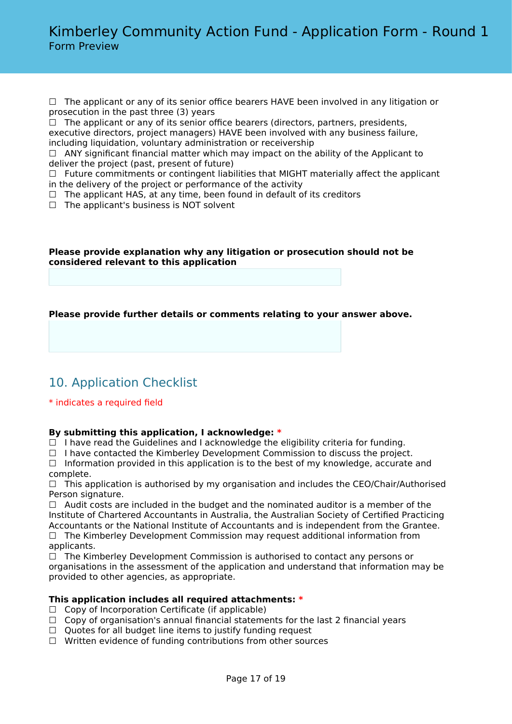□ The applicant or any of its senior office bearers HAVE been involved in any litigation or prosecution in the past three (3) years

 $\Box$  The applicant or any of its senior office bearers (directors, partners, presidents, executive directors, project managers) HAVE been involved with any business failure, including liquidation, voluntary administration or receivership

 $\Box$  ANY significant financial matter which may impact on the ability of the Applicant to deliver the project (past, present of future)

 $\Box$  Future commitments or contingent liabilities that MIGHT materially affect the applicant in the delivery of the project or performance of the activity

- $\Box$  The applicant HAS, at any time, been found in default of its creditors
- $\Box$  The applicant's business is NOT solvent

### **Please provide explanation why any litigation or prosecution should not be considered relevant to this application**

**Please provide further details or comments relating to your answer above.**

# 10. Application Checklist

## \* indicates a required field

## **By submitting this application, I acknowledge: \***

 $\Box$  I have read the Guidelines and I acknowledge the eligibility criteria for funding.

 $\Box$  I have contacted the Kimberley Development Commission to discuss the project.

□ Information provided in this application is to the best of my knowledge, accurate and complete.

 $\Box$  This application is authorised by my organisation and includes the CEO/Chair/Authorised Person signature.

 $\Box$  Audit costs are included in the budget and the nominated auditor is a member of the Institute of Chartered Accountants in Australia, the Australian Society of Certified Practicing Accountants or the National Institute of Accountants and is independent from the Grantee.  $\Box$  The Kimberley Development Commission may request additional information from

applicants.

 $\Box$  The Kimberley Development Commission is authorised to contact any persons or organisations in the assessment of the application and understand that information may be provided to other agencies, as appropriate.

## **This application includes all required attachments: \***

- $\Box$  Copy of Incorporation Certificate (if applicable)
- $\Box$  Copy of organisation's annual financial statements for the last 2 financial years
- $\Box$  Quotes for all budget line items to justify funding request
- ☐ Written evidence of funding contributions from other sources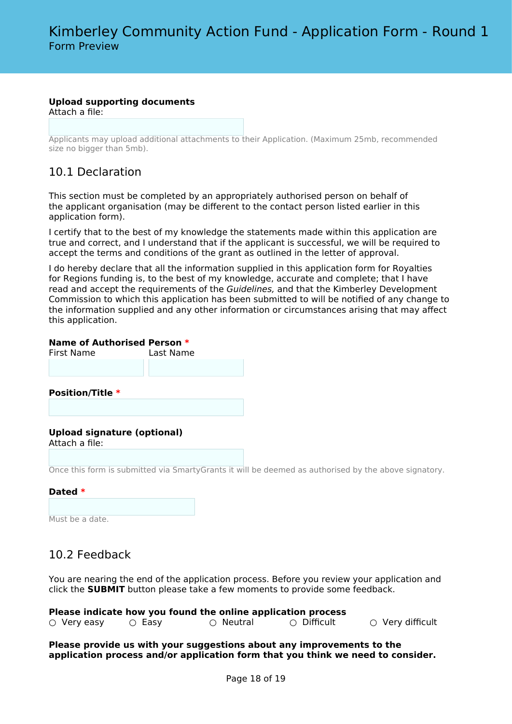### **Upload supporting documents**

Attach a file:

Applicants may upload additional attachments to their Application. (Maximum 25mb, recommended size no bigger than 5mb).

# 10.1 Declaration

This section must be completed by an appropriately authorised person on behalf of the applicant organisation (may be different to the contact person listed earlier in this application form).

I certify that to the best of my knowledge the statements made within this application are true and correct, and I understand that if the applicant is successful, we will be required to accept the terms and conditions of the grant as outlined in the letter of approval.

I do hereby declare that all the information supplied in this application form for Royalties for Regions funding is, to the best of my knowledge, accurate and complete; that I have read and accept the requirements of the *Guidelines,* and that the Kimberley Development Commission to which this application has been submitted to will be notified of any change to the information supplied and any other information or circumstances arising that may affect this application.

### **Name of Authorised Person \***

First Name Last Name **Position/Title \* Upload signature (optional)** Attach a file:

Once this form is submitted via SmartyGrants it will be deemed as authorised by the above signatory.

### **Dated \***

Must be a date.

# 10.2 Feedback

You are nearing the end of the application process. Before you review your application and click the **SUBMIT** button please take a few moments to provide some feedback.

| Please indicate how you found the online application process |              |           |             |                                    |  |
|--------------------------------------------------------------|--------------|-----------|-------------|------------------------------------|--|
| $\circ$ Very easy                                            | $\circ$ Easy | ○ Neutral | ∩ Difficult | $\circlearrowright$ Very difficult |  |

**Please provide us with your suggestions about any improvements to the application process and/or application form that you think we need to consider.**